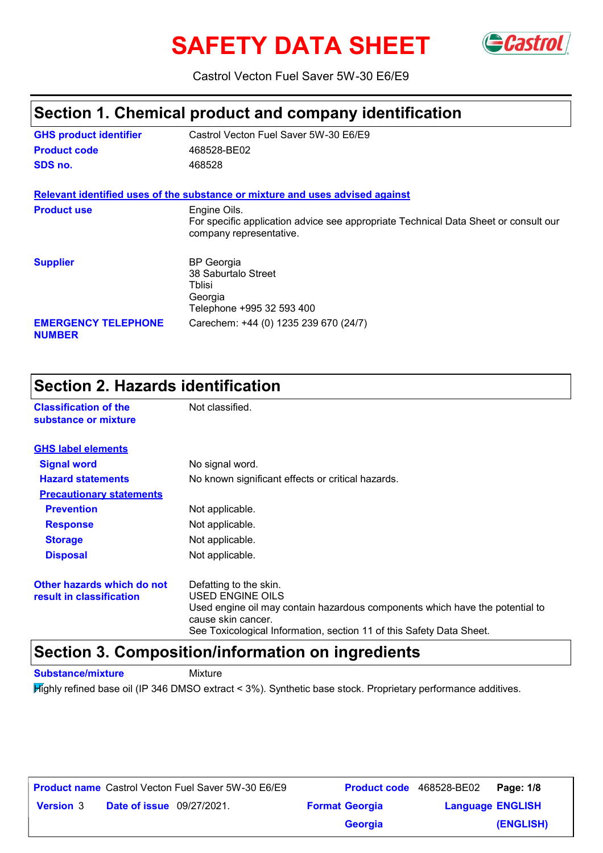# **SAFETY DATA SHEET** GCastrol



Castrol Vecton Fuel Saver 5W-30 E6/E9

### **Section 1. Chemical product and company identification**

| <b>GHS product identifier</b>               | Castrol Vecton Fuel Saver 5W-30 E6/E9                                                                                          |
|---------------------------------------------|--------------------------------------------------------------------------------------------------------------------------------|
| <b>Product code</b>                         | 468528-BE02                                                                                                                    |
| SDS no.                                     | 468528                                                                                                                         |
|                                             | Relevant identified uses of the substance or mixture and uses advised against                                                  |
| <b>Product use</b>                          | Engine Oils.<br>For specific application advice see appropriate Technical Data Sheet or consult our<br>company representative. |
| <b>Supplier</b>                             | <b>BP</b> Georgia<br>38 Saburtalo Street<br>Tblisi<br>Georgia<br>Telephone +995 32 593 400                                     |
| <b>EMERGENCY TELEPHONE</b><br><b>NUMBER</b> | Carechem: +44 (0) 1235 239 670 (24/7)                                                                                          |

### **Section 2. Hazards identification**

| <b>Classification of the</b><br>substance or mixture   | Not classified.                                                                                                                                                                                                          |
|--------------------------------------------------------|--------------------------------------------------------------------------------------------------------------------------------------------------------------------------------------------------------------------------|
| <b>GHS label elements</b>                              |                                                                                                                                                                                                                          |
| <b>Signal word</b>                                     | No signal word.                                                                                                                                                                                                          |
| <b>Hazard statements</b>                               | No known significant effects or critical hazards.                                                                                                                                                                        |
| <b>Precautionary statements</b>                        |                                                                                                                                                                                                                          |
| <b>Prevention</b>                                      | Not applicable.                                                                                                                                                                                                          |
| <b>Response</b>                                        | Not applicable.                                                                                                                                                                                                          |
| <b>Storage</b>                                         | Not applicable.                                                                                                                                                                                                          |
| <b>Disposal</b>                                        | Not applicable.                                                                                                                                                                                                          |
| Other hazards which do not<br>result in classification | Defatting to the skin.<br>USED ENGINE OILS<br>Used engine oil may contain hazardous components which have the potential to<br>cause skin cancer.<br>See Toxicological Information, section 11 of this Safety Data Sheet. |

#### **Section 3. Composition/information on ingredients**

**Substance/mixture** Mixture

Highly refined base oil (IP 346 DMSO extract < 3%). Synthetic base stock. Proprietary performance additives.

|                  |                                  | <b>Product name</b> Castrol Vecton Fuel Saver 5W-30 E6/E9 | Product code 468528-BE02 |                         | Page: 1/8 |
|------------------|----------------------------------|-----------------------------------------------------------|--------------------------|-------------------------|-----------|
| <b>Version 3</b> | <b>Date of issue</b> 09/27/2021. |                                                           | <b>Format Georgia</b>    | <b>Language ENGLISH</b> |           |
|                  |                                  |                                                           | <b>Georgia</b>           |                         | (ENGLISH) |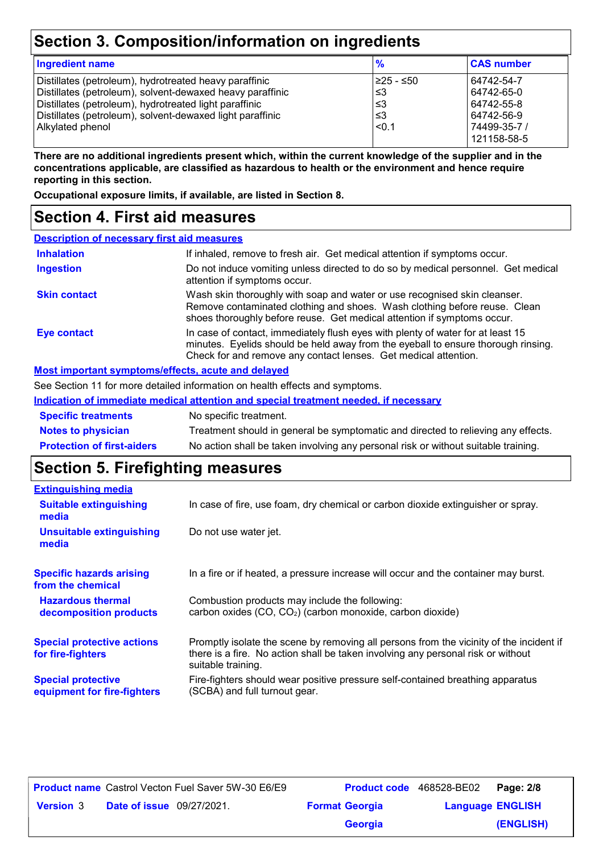### **Section 3. Composition/information on ingredients**

| <b>Ingredient name</b>                                    | $\frac{9}{6}$ | <b>CAS number</b> |
|-----------------------------------------------------------|---------------|-------------------|
| Distillates (petroleum), hydrotreated heavy paraffinic    | 1≥25 - ≤50    | 64742-54-7        |
| Distillates (petroleum), solvent-dewaxed heavy paraffinic | ا≤3           | 64742-65-0        |
| Distillates (petroleum), hydrotreated light paraffinic    | ՝≤3           | 64742-55-8        |
| Distillates (petroleum), solvent-dewaxed light paraffinic | ՝≤3           | 64742-56-9        |
| Alkylated phenol                                          | $ $ < 0.1     | 74499-35-7 /      |
|                                                           |               | 121158-58-5       |

**There are no additional ingredients present which, within the current knowledge of the supplier and in the concentrations applicable, are classified as hazardous to health or the environment and hence require reporting in this section.**

**Occupational exposure limits, if available, are listed in Section 8.**

#### **Section 4. First aid measures**

| <b>Description of necessary first aid measures</b> |                                                                                                                                                                                                                                         |
|----------------------------------------------------|-----------------------------------------------------------------------------------------------------------------------------------------------------------------------------------------------------------------------------------------|
| <b>Inhalation</b>                                  | If inhaled, remove to fresh air. Get medical attention if symptoms occur.                                                                                                                                                               |
| <b>Ingestion</b>                                   | Do not induce vomiting unless directed to do so by medical personnel. Get medical<br>attention if symptoms occur.                                                                                                                       |
| <b>Skin contact</b>                                | Wash skin thoroughly with soap and water or use recognised skin cleanser.<br>Remove contaminated clothing and shoes. Wash clothing before reuse. Clean<br>shoes thoroughly before reuse. Get medical attention if symptoms occur.       |
| <b>Eye contact</b>                                 | In case of contact, immediately flush eyes with plenty of water for at least 15<br>minutes. Eyelids should be held away from the eyeball to ensure thorough rinsing.<br>Check for and remove any contact lenses. Get medical attention. |
|                                                    | Most important symptoms/effects, acute and delayed                                                                                                                                                                                      |
|                                                    | Cae Caetian 11 fermese detailed information on booth effects and ownstance                                                                                                                                                              |

See Section 11 for more detailed information on health effects and symptoms.

**Indication of immediate medical attention and special treatment needed, if necessary**

| <b>Specific treatments</b>        | No specific treatment.                                                             |
|-----------------------------------|------------------------------------------------------------------------------------|
| <b>Notes to physician</b>         | Treatment should in general be symptomatic and directed to relieving any effects.  |
| <b>Protection of first-aiders</b> | No action shall be taken involving any personal risk or without suitable training. |

### **Section 5. Firefighting measures**

| <b>Extinguishing media</b>                               |                                                                                                                                                                                                   |
|----------------------------------------------------------|---------------------------------------------------------------------------------------------------------------------------------------------------------------------------------------------------|
| <b>Suitable extinguishing</b><br>media                   | In case of fire, use foam, dry chemical or carbon dioxide extinguisher or spray.                                                                                                                  |
| <b>Unsuitable extinguishing</b><br>media                 | Do not use water jet.                                                                                                                                                                             |
| <b>Specific hazards arising</b><br>from the chemical     | In a fire or if heated, a pressure increase will occur and the container may burst.                                                                                                               |
| <b>Hazardous thermal</b><br>decomposition products       | Combustion products may include the following:<br>carbon oxides (CO, CO <sub>2</sub> ) (carbon monoxide, carbon dioxide)                                                                          |
| <b>Special protective actions</b><br>for fire-fighters   | Promptly isolate the scene by removing all persons from the vicinity of the incident if<br>there is a fire. No action shall be taken involving any personal risk or without<br>suitable training. |
| <b>Special protective</b><br>equipment for fire-fighters | Fire-fighters should wear positive pressure self-contained breathing apparatus<br>(SCBA) and full turnout gear.                                                                                   |

|                  |                                  | <b>Product name</b> Castrol Vecton Fuel Saver 5W-30 E6/E9 | Product code 468528-BE02 |                         | Page: 2/8 |
|------------------|----------------------------------|-----------------------------------------------------------|--------------------------|-------------------------|-----------|
| <b>Version 3</b> | <b>Date of issue</b> 09/27/2021. |                                                           | <b>Format Georgia</b>    | <b>Language ENGLISH</b> |           |
|                  |                                  |                                                           | <b>Georgia</b>           |                         | (ENGLISH) |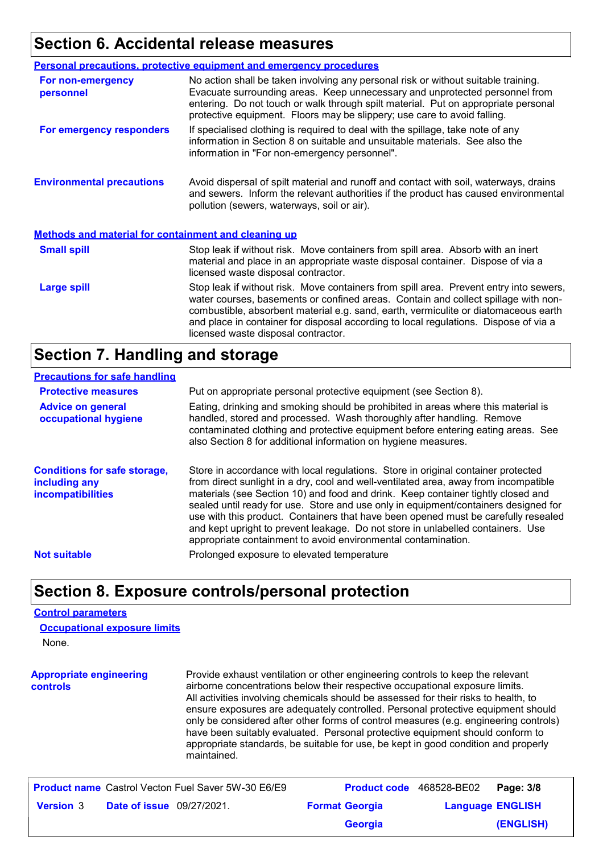#### **Section 6. Accidental release measures**

|                                                             | <b>Personal precautions, protective equipment and emergency procedures</b>                                                                                                                                                                                                                                                                                                                         |
|-------------------------------------------------------------|----------------------------------------------------------------------------------------------------------------------------------------------------------------------------------------------------------------------------------------------------------------------------------------------------------------------------------------------------------------------------------------------------|
| For non-emergency<br>personnel                              | No action shall be taken involving any personal risk or without suitable training.<br>Evacuate surrounding areas. Keep unnecessary and unprotected personnel from<br>entering. Do not touch or walk through spilt material. Put on appropriate personal<br>protective equipment. Floors may be slippery; use care to avoid falling.                                                                |
| For emergency responders                                    | If specialised clothing is required to deal with the spillage, take note of any<br>information in Section 8 on suitable and unsuitable materials. See also the<br>information in "For non-emergency personnel".                                                                                                                                                                                    |
| <b>Environmental precautions</b>                            | Avoid dispersal of spilt material and runoff and contact with soil, waterways, drains<br>and sewers. Inform the relevant authorities if the product has caused environmental<br>pollution (sewers, waterways, soil or air).                                                                                                                                                                        |
| <b>Methods and material for containment and cleaning up</b> |                                                                                                                                                                                                                                                                                                                                                                                                    |
| <b>Small spill</b>                                          | Stop leak if without risk. Move containers from spill area. Absorb with an inert<br>material and place in an appropriate waste disposal container. Dispose of via a<br>licensed waste disposal contractor.                                                                                                                                                                                         |
| <b>Large spill</b>                                          | Stop leak if without risk. Move containers from spill area. Prevent entry into sewers,<br>water courses, basements or confined areas. Contain and collect spillage with non-<br>combustible, absorbent material e.g. sand, earth, vermiculite or diatomaceous earth<br>and place in container for disposal according to local regulations. Dispose of via a<br>licensed waste disposal contractor. |

#### **Section 7. Handling and storage**

#### **Precautions for safe handling**

| <b>Protective measures</b>                                                | Put on appropriate personal protective equipment (see Section 8).                                                                                                                                                                                                                                                                                                                                                                                                                                                                                                                              |
|---------------------------------------------------------------------------|------------------------------------------------------------------------------------------------------------------------------------------------------------------------------------------------------------------------------------------------------------------------------------------------------------------------------------------------------------------------------------------------------------------------------------------------------------------------------------------------------------------------------------------------------------------------------------------------|
| <b>Advice on general</b><br>occupational hygiene                          | Eating, drinking and smoking should be prohibited in areas where this material is<br>handled, stored and processed. Wash thoroughly after handling. Remove<br>contaminated clothing and protective equipment before entering eating areas. See<br>also Section 8 for additional information on hygiene measures.                                                                                                                                                                                                                                                                               |
| <b>Conditions for safe storage,</b><br>including any<br>incompatibilities | Store in accordance with local regulations. Store in original container protected<br>from direct sunlight in a dry, cool and well-ventilated area, away from incompatible<br>materials (see Section 10) and food and drink. Keep container tightly closed and<br>sealed until ready for use. Store and use only in equipment/containers designed for<br>use with this product. Containers that have been opened must be carefully resealed<br>and kept upright to prevent leakage. Do not store in unlabelled containers. Use<br>appropriate containment to avoid environmental contamination. |
| <b>Not suitable</b>                                                       | Prolonged exposure to elevated temperature                                                                                                                                                                                                                                                                                                                                                                                                                                                                                                                                                     |
|                                                                           |                                                                                                                                                                                                                                                                                                                                                                                                                                                                                                                                                                                                |

#### **Section 8. Exposure controls/personal protection**

#### **Control parameters**

None. **Appropriate engineering controls** Provide exhaust ventilation or other engineering controls to keep the relevant airborne concentrations below their respective occupational exposure limits. All activities involving chemicals should be assessed for their risks to health, to ensure exposures are adequately controlled. Personal protective equipment should only be considered after other forms of control measures (e.g. engineering controls) have been suitably evaluated. Personal protective equipment should conform to appropriate standards, be suitable for use, be kept in good condition and properly maintained. **Occupational exposure limits Product name** Castrol Vecton Fuel Saver 5W-30 E6/E9 **Product code** 468528-BE02 **Page: 3/8**  $208$ 

|                  |                                  | <b>Product Hame</b> Castrol Vector Puel Saver 300-30 E0/E9 |                       | <b>Product code</b> 400020-DEUZ <b>Page.</b> 3/0 |           |
|------------------|----------------------------------|------------------------------------------------------------|-----------------------|--------------------------------------------------|-----------|
| <b>Version 3</b> | <b>Date of issue</b> 09/27/2021. |                                                            | <b>Format Georgia</b> | <b>Language ENGLISH</b>                          |           |
|                  |                                  |                                                            | <b>Georgia</b>        |                                                  | (ENGLISH) |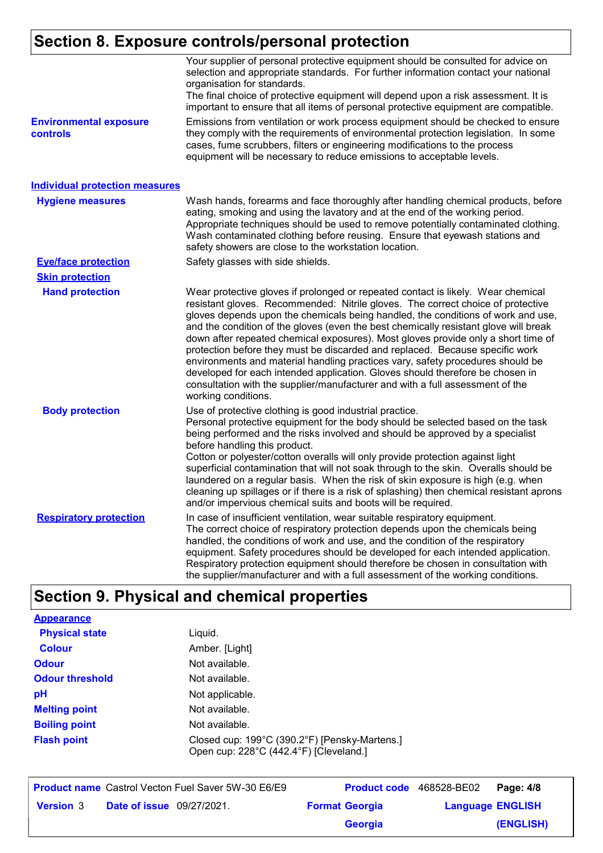### **Section 8. Exposure controls/personal protection**

| <b>Environmental exposure</b>         | Your supplier of personal protective equipment should be consulted for advice on<br>selection and appropriate standards. For further information contact your national<br>organisation for standards.<br>The final choice of protective equipment will depend upon a risk assessment. It is<br>important to ensure that all items of personal protective equipment are compatible.<br>Emissions from ventilation or work process equipment should be checked to ensure                                                                                                                                                                                                                                                                                                                          |
|---------------------------------------|-------------------------------------------------------------------------------------------------------------------------------------------------------------------------------------------------------------------------------------------------------------------------------------------------------------------------------------------------------------------------------------------------------------------------------------------------------------------------------------------------------------------------------------------------------------------------------------------------------------------------------------------------------------------------------------------------------------------------------------------------------------------------------------------------|
| controls                              | they comply with the requirements of environmental protection legislation. In some<br>cases, fume scrubbers, filters or engineering modifications to the process<br>equipment will be necessary to reduce emissions to acceptable levels.                                                                                                                                                                                                                                                                                                                                                                                                                                                                                                                                                       |
| <b>Individual protection measures</b> |                                                                                                                                                                                                                                                                                                                                                                                                                                                                                                                                                                                                                                                                                                                                                                                                 |
| <b>Hygiene measures</b>               | Wash hands, forearms and face thoroughly after handling chemical products, before<br>eating, smoking and using the lavatory and at the end of the working period.<br>Appropriate techniques should be used to remove potentially contaminated clothing.<br>Wash contaminated clothing before reusing. Ensure that eyewash stations and<br>safety showers are close to the workstation location.                                                                                                                                                                                                                                                                                                                                                                                                 |
| <b>Eye/face protection</b>            | Safety glasses with side shields.                                                                                                                                                                                                                                                                                                                                                                                                                                                                                                                                                                                                                                                                                                                                                               |
| <b>Skin protection</b>                |                                                                                                                                                                                                                                                                                                                                                                                                                                                                                                                                                                                                                                                                                                                                                                                                 |
| <b>Hand protection</b>                | Wear protective gloves if prolonged or repeated contact is likely. Wear chemical<br>resistant gloves. Recommended: Nitrile gloves. The correct choice of protective<br>gloves depends upon the chemicals being handled, the conditions of work and use,<br>and the condition of the gloves (even the best chemically resistant glove will break<br>down after repeated chemical exposures). Most gloves provide only a short time of<br>protection before they must be discarded and replaced. Because specific work<br>environments and material handling practices vary, safety procedures should be<br>developed for each intended application. Gloves should therefore be chosen in<br>consultation with the supplier/manufacturer and with a full assessment of the<br>working conditions. |
| <b>Body protection</b>                | Use of protective clothing is good industrial practice.<br>Personal protective equipment for the body should be selected based on the task<br>being performed and the risks involved and should be approved by a specialist<br>before handling this product.<br>Cotton or polyester/cotton overalls will only provide protection against light<br>superficial contamination that will not soak through to the skin. Overalls should be<br>laundered on a regular basis. When the risk of skin exposure is high (e.g. when<br>cleaning up spillages or if there is a risk of splashing) then chemical resistant aprons<br>and/or impervious chemical suits and boots will be required.                                                                                                           |
| <b>Respiratory protection</b>         | In case of insufficient ventilation, wear suitable respiratory equipment.<br>The correct choice of respiratory protection depends upon the chemicals being<br>handled, the conditions of work and use, and the condition of the respiratory<br>equipment. Safety procedures should be developed for each intended application.<br>Respiratory protection equipment should therefore be chosen in consultation with<br>the supplier/manufacturer and with a full assessment of the working conditions.                                                                                                                                                                                                                                                                                           |

# **Section 9. Physical and chemical properties**

| <b>Appearance</b>      |                                                                                         |
|------------------------|-----------------------------------------------------------------------------------------|
| <b>Physical state</b>  | Liquid.                                                                                 |
| Colour                 | Amber. [Light]                                                                          |
| <b>Odour</b>           | Not available.                                                                          |
| <b>Odour threshold</b> | Not available.                                                                          |
| рH                     | Not applicable.                                                                         |
| <b>Melting point</b>   | Not available.                                                                          |
| <b>Boiling point</b>   | Not available.                                                                          |
| <b>Flash point</b>     | Closed cup: 199°C (390.2°F) [Pensky-Martens.]<br>Open cup: 228°C (442.4°F) [Cleveland.] |

| <b>Product name</b> Castrol Vecton Fuel Saver 5W-30 E6/E9 |                       | <b>Product code</b> 468528-BE02 | Page: 4/8 |
|-----------------------------------------------------------|-----------------------|---------------------------------|-----------|
| <b>Version 3</b><br><b>Date of issue</b> 09/27/2021.      | <b>Format Georgia</b> | <b>Language ENGLISH</b>         |           |
|                                                           | <b>Georgia</b>        |                                 | (ENGLISH) |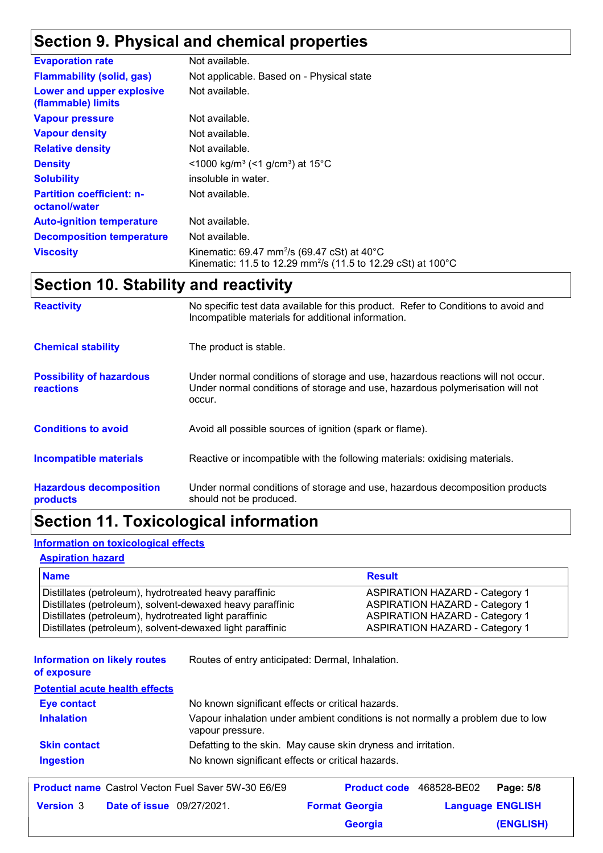### **Section 9. Physical and chemical properties**

| <b>Evaporation rate</b>                           | Not available.                                                                                                                                 |
|---------------------------------------------------|------------------------------------------------------------------------------------------------------------------------------------------------|
| <b>Flammability (solid, gas)</b>                  | Not applicable. Based on - Physical state                                                                                                      |
| Lower and upper explosive<br>(flammable) limits   | Not available.                                                                                                                                 |
| <b>Vapour pressure</b>                            | Not available.                                                                                                                                 |
| <b>Vapour density</b>                             | Not available.                                                                                                                                 |
| <b>Relative density</b>                           | Not available.                                                                                                                                 |
| <b>Density</b>                                    | $\leq$ 1000 kg/m <sup>3</sup> (<1 g/cm <sup>3</sup> ) at 15 <sup>°</sup> C                                                                     |
| <b>Solubility</b>                                 | insoluble in water.                                                                                                                            |
| <b>Partition coefficient: n-</b><br>octanol/water | Not available.                                                                                                                                 |
| <b>Auto-ignition temperature</b>                  | Not available.                                                                                                                                 |
| <b>Decomposition temperature</b>                  | Not available.                                                                                                                                 |
| <b>Viscosity</b>                                  | Kinematic: 69.47 mm <sup>2</sup> /s (69.47 cSt) at 40 $^{\circ}$ C<br>Kinematic: 11.5 to 12.29 mm <sup>2</sup> /s (11.5 to 12.29 cSt) at 100°C |

### **Section 10. Stability and reactivity**

| <b>Reactivity</b>                            | No specific test data available for this product. Refer to Conditions to avoid and<br>Incompatible materials for additional information.                                   |
|----------------------------------------------|----------------------------------------------------------------------------------------------------------------------------------------------------------------------------|
| <b>Chemical stability</b>                    | The product is stable.                                                                                                                                                     |
| <b>Possibility of hazardous</b><br>reactions | Under normal conditions of storage and use, hazardous reactions will not occur.<br>Under normal conditions of storage and use, hazardous polymerisation will not<br>occur. |
| <b>Conditions to avoid</b>                   | Avoid all possible sources of ignition (spark or flame).                                                                                                                   |
| <b>Incompatible materials</b>                | Reactive or incompatible with the following materials: oxidising materials.                                                                                                |
| <b>Hazardous decomposition</b><br>products   | Under normal conditions of storage and use, hazardous decomposition products<br>should not be produced.                                                                    |

### **Section 11. Toxicological information**

#### **Information on toxicological effects**

#### **Aspiration hazard**

| <b>Name</b>                                               | <b>Result</b>                         |
|-----------------------------------------------------------|---------------------------------------|
| Distillates (petroleum), hydrotreated heavy paraffinic    | <b>ASPIRATION HAZARD - Category 1</b> |
| Distillates (petroleum), solvent-dewaxed heavy paraffinic | <b>ASPIRATION HAZARD - Category 1</b> |
| Distillates (petroleum), hydrotreated light paraffinic    | <b>ASPIRATION HAZARD - Category 1</b> |
| Distillates (petroleum), solvent-dewaxed light paraffinic | <b>ASPIRATION HAZARD - Category 1</b> |

**Information on likely routes**  Routes of entry anticipated: Dermal, Inhalation.

**of exposure**

**Potential acute health effects**

| <b>Eye contact</b>  | No known significant effects or critical hazards.                                                   |
|---------------------|-----------------------------------------------------------------------------------------------------|
| <b>Inhalation</b>   | Vapour inhalation under ambient conditions is not normally a problem due to low<br>vapour pressure. |
| <b>Skin contact</b> | Defatting to the skin. May cause skin dryness and irritation.                                       |
| <b>Ingestion</b>    | No known significant effects or critical hazards.                                                   |
|                     |                                                                                                     |

|                  |                                  | <b>Product name</b> Castrol Vecton Fuel Saver 5W-30 E6/E9 | <b>Product code</b> 468528-BE02 |                         | Page: 5/8 |
|------------------|----------------------------------|-----------------------------------------------------------|---------------------------------|-------------------------|-----------|
| <b>Version</b> 3 | <b>Date of issue</b> 09/27/2021. |                                                           | <b>Format Georgia</b>           | <b>Language ENGLISH</b> |           |
|                  |                                  |                                                           | <b>Georgia</b>                  |                         | (ENGLISH) |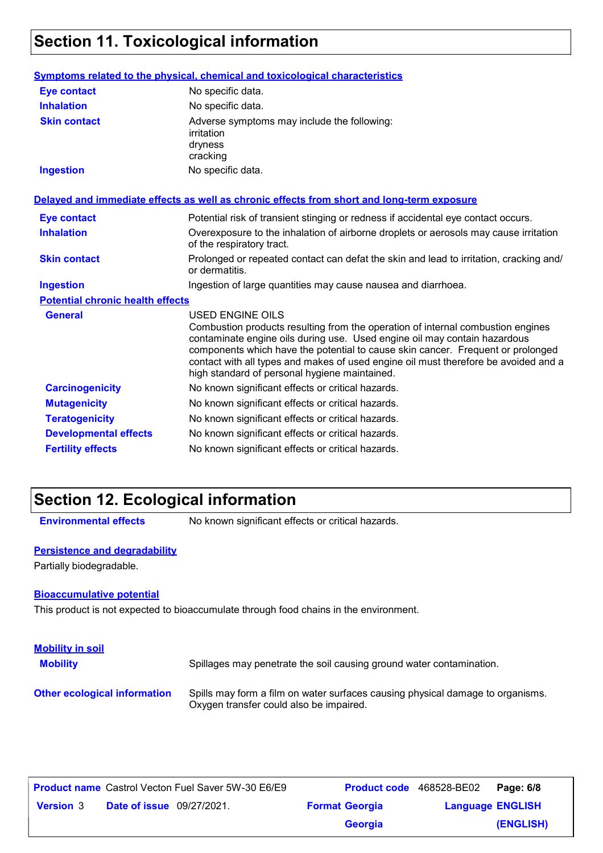## **Section 11. Toxicological information**

|                                         | Symptoms related to the physical, chemical and toxicological characteristics                                                                                                                                                                                                                                                                                                                                       |
|-----------------------------------------|--------------------------------------------------------------------------------------------------------------------------------------------------------------------------------------------------------------------------------------------------------------------------------------------------------------------------------------------------------------------------------------------------------------------|
| <b>Eye contact</b>                      | No specific data.                                                                                                                                                                                                                                                                                                                                                                                                  |
| <b>Inhalation</b>                       | No specific data.                                                                                                                                                                                                                                                                                                                                                                                                  |
| <b>Skin contact</b>                     | Adverse symptoms may include the following:<br>irritation<br>dryness<br>cracking                                                                                                                                                                                                                                                                                                                                   |
| <b>Ingestion</b>                        | No specific data.                                                                                                                                                                                                                                                                                                                                                                                                  |
|                                         | Delayed and immediate effects as well as chronic effects from short and long-term exposure                                                                                                                                                                                                                                                                                                                         |
| <b>Eye contact</b>                      | Potential risk of transient stinging or redness if accidental eye contact occurs.                                                                                                                                                                                                                                                                                                                                  |
| <b>Inhalation</b>                       | Overexposure to the inhalation of airborne droplets or aerosols may cause irritation<br>of the respiratory tract.                                                                                                                                                                                                                                                                                                  |
| <b>Skin contact</b>                     | Prolonged or repeated contact can defat the skin and lead to irritation, cracking and/<br>or dermatitis.                                                                                                                                                                                                                                                                                                           |
| <b>Ingestion</b>                        | Ingestion of large quantities may cause nausea and diarrhoea.                                                                                                                                                                                                                                                                                                                                                      |
| <b>Potential chronic health effects</b> |                                                                                                                                                                                                                                                                                                                                                                                                                    |
| <b>General</b>                          | <b>USED ENGINE OILS</b><br>Combustion products resulting from the operation of internal combustion engines<br>contaminate engine oils during use. Used engine oil may contain hazardous<br>components which have the potential to cause skin cancer. Frequent or prolonged<br>contact with all types and makes of used engine oil must therefore be avoided and a<br>high standard of personal hygiene maintained. |
| <b>Carcinogenicity</b>                  | No known significant effects or critical hazards.                                                                                                                                                                                                                                                                                                                                                                  |
| <b>Mutagenicity</b>                     | No known significant effects or critical hazards.                                                                                                                                                                                                                                                                                                                                                                  |
| <b>Teratogenicity</b>                   | No known significant effects or critical hazards.                                                                                                                                                                                                                                                                                                                                                                  |
| <b>Developmental effects</b>            | No known significant effects or critical hazards.                                                                                                                                                                                                                                                                                                                                                                  |
| <b>Fertility effects</b>                | No known significant effects or critical hazards.                                                                                                                                                                                                                                                                                                                                                                  |

### **Section 12. Ecological information**

**Environmental effects** No known significant effects or critical hazards.

#### **Persistence and degradability**

Partially biodegradable.

#### **Bioaccumulative potential**

This product is not expected to bioaccumulate through food chains in the environment.

| <b>Mobility in soil</b><br><b>Mobility</b> | Spillages may penetrate the soil causing ground water contamination.                                                      |
|--------------------------------------------|---------------------------------------------------------------------------------------------------------------------------|
| <b>Other ecological information</b>        | Spills may form a film on water surfaces causing physical damage to organisms.<br>Oxygen transfer could also be impaired. |

|                  |                                  | <b>Product name</b> Castrol Vecton Fuel Saver 5W-30 E6/E9 | Product code 468528-BE02 |                         | Page: 6/8 |
|------------------|----------------------------------|-----------------------------------------------------------|--------------------------|-------------------------|-----------|
| <b>Version 3</b> | <b>Date of issue</b> 09/27/2021. |                                                           | <b>Format Georgia</b>    | <b>Language ENGLISH</b> |           |
|                  |                                  |                                                           | <b>Georgia</b>           |                         | (ENGLISH) |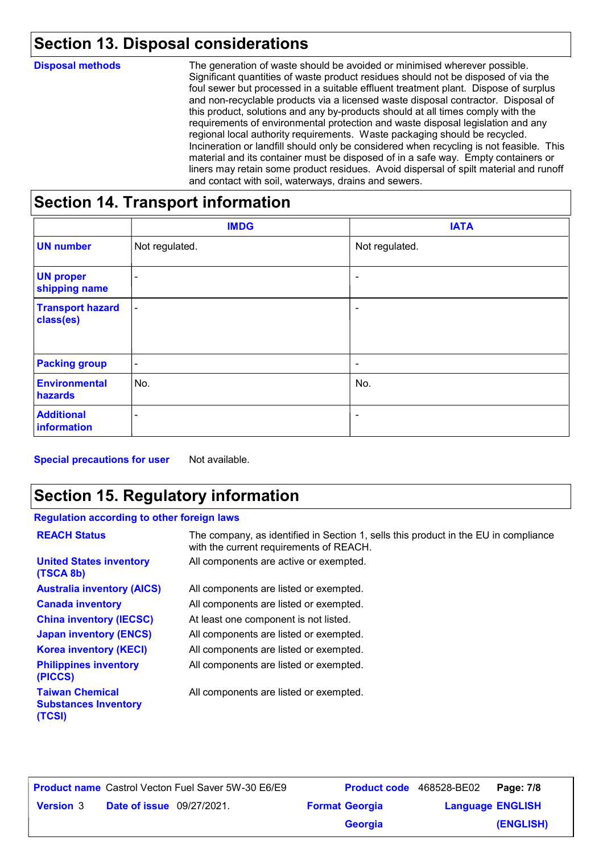### **Section 13. Disposal considerations**

| <b>Disposal methods</b> | The generation of waste should be avoided or minimised wherever possible.<br>Significant quantities of waste product residues should not be disposed of via the<br>foul sewer but processed in a suitable effluent treatment plant. Dispose of surplus<br>and non-recyclable products via a licensed waste disposal contractor. Disposal of<br>this product, solutions and any by-products should at all times comply with the<br>requirements of environmental protection and waste disposal legislation and any<br>regional local authority requirements. Waste packaging should be recycled.<br>Incineration or landfill should only be considered when recycling is not feasible. This<br>material and its container must be disposed of in a safe way. Empty containers or<br>liners may retain some product residues. Avoid dispersal of spilt material and runoff<br>and contact with soil, waterways, drains and sewers. |
|-------------------------|----------------------------------------------------------------------------------------------------------------------------------------------------------------------------------------------------------------------------------------------------------------------------------------------------------------------------------------------------------------------------------------------------------------------------------------------------------------------------------------------------------------------------------------------------------------------------------------------------------------------------------------------------------------------------------------------------------------------------------------------------------------------------------------------------------------------------------------------------------------------------------------------------------------------------------|
|                         |                                                                                                                                                                                                                                                                                                                                                                                                                                                                                                                                                                                                                                                                                                                                                                                                                                                                                                                                  |

#### **Section 14. Transport information**

|                                      | <b>IMDG</b>              | <b>IATA</b>              |
|--------------------------------------|--------------------------|--------------------------|
| <b>UN number</b>                     | Not regulated.           | Not regulated.           |
| <b>UN proper</b><br>shipping name    | $\overline{\phantom{0}}$ | $\overline{\phantom{a}}$ |
| <b>Transport hazard</b><br>class(es) | $\blacksquare$           | ٠                        |
| <b>Packing group</b>                 | $\overline{\phantom{a}}$ | $\overline{\phantom{a}}$ |
| <b>Environmental</b><br>hazards      | No.                      | No.                      |
| <b>Additional</b><br>information     | $\overline{\phantom{a}}$ | ٠                        |

**Special precautions for user** Not available.

#### **Section 15. Regulatory information**

#### **Regulation according to other foreign laws**

| <b>REACH Status</b>                                             | The company, as identified in Section 1, sells this product in the EU in compliance<br>with the current requirements of REACH. |
|-----------------------------------------------------------------|--------------------------------------------------------------------------------------------------------------------------------|
| <b>United States inventory</b><br>(TSCA 8b)                     | All components are active or exempted.                                                                                         |
| <b>Australia inventory (AICS)</b>                               | All components are listed or exempted.                                                                                         |
| <b>Canada inventory</b>                                         | All components are listed or exempted.                                                                                         |
| <b>China inventory (IECSC)</b>                                  | At least one component is not listed.                                                                                          |
| <b>Japan inventory (ENCS)</b>                                   | All components are listed or exempted.                                                                                         |
| <b>Korea inventory (KECI)</b>                                   | All components are listed or exempted.                                                                                         |
| <b>Philippines inventory</b><br>(PICCS)                         | All components are listed or exempted.                                                                                         |
| <b>Taiwan Chemical</b><br><b>Substances Inventory</b><br>(TCSI) | All components are listed or exempted.                                                                                         |